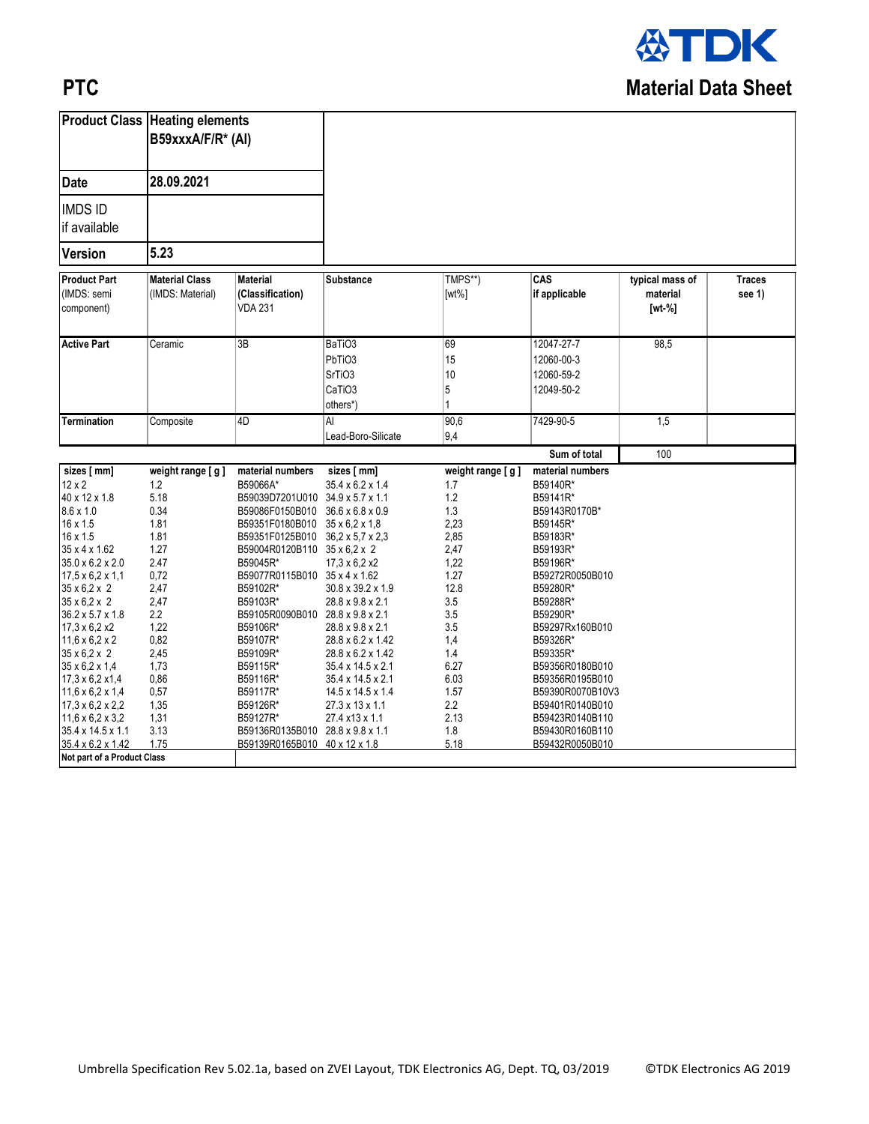

## **PTC**

| <b>Product Class Heating elements</b> |                       |                                  |                              |                  |                  |                 |               |
|---------------------------------------|-----------------------|----------------------------------|------------------------------|------------------|------------------|-----------------|---------------|
|                                       | B59xxxA/F/R* (Al)     |                                  |                              |                  |                  |                 |               |
|                                       |                       |                                  |                              |                  |                  |                 |               |
| <b>Date</b>                           | 28.09.2021            |                                  |                              |                  |                  |                 |               |
| <b>IMDS ID</b>                        |                       |                                  |                              |                  |                  |                 |               |
|                                       |                       |                                  |                              |                  |                  |                 |               |
| if available                          |                       |                                  |                              |                  |                  |                 |               |
| <b>Version</b>                        | 5.23                  |                                  |                              |                  |                  |                 |               |
| <b>Product Part</b>                   | <b>Material Class</b> | <b>Material</b>                  | Substance                    | TMPS**)          | CAS              | typical mass of | <b>Traces</b> |
| (IMDS: semi                           | (IMDS: Material)      | (Classification)                 |                              | $[wt\%]$         | if applicable    | material        | see 1)        |
| component)                            |                       | <b>VDA 231</b>                   |                              |                  |                  | $[wt - %]$      |               |
|                                       |                       |                                  |                              |                  |                  |                 |               |
| <b>Active Part</b>                    | Ceramic               | 3B                               | BaTiO <sub>3</sub>           | 69               | 12047-27-7       | 98,5            |               |
|                                       |                       |                                  | PbTiO3                       | 15               | 12060-00-3       |                 |               |
|                                       |                       |                                  | SrTiO <sub>3</sub>           | 10               | 12060-59-2       |                 |               |
|                                       |                       |                                  |                              |                  |                  |                 |               |
|                                       |                       |                                  | CaTiO <sub>3</sub>           | 5                | 12049-50-2       |                 |               |
|                                       |                       |                                  | others*)                     |                  |                  |                 |               |
| Termination                           | Composite             | 4D                               | ΙAΙ                          | 90,6             | 7429-90-5        | 1,5             |               |
|                                       |                       |                                  | Lead-Boro-Silicate           | 9,4              |                  |                 |               |
|                                       |                       |                                  |                              |                  | Sum of total     | 100             |               |
| sizes [ mm]                           | weight range [g]      | material numbers                 | sizes [ mm]                  | weight range [g] | material numbers |                 |               |
| $12 \times 2$                         | 1.2                   | B59066A*                         | 35.4 x 6.2 x 1.4             | 1.7              | B59140R*         |                 |               |
| 40 x 12 x 1.8                         | 5.18                  | B59039D7201U010 34.9 x 5.7 x 1.1 |                              | 1.2              | B59141R*         |                 |               |
| $8.6 \times 1.0$                      | 0.34                  | B59086F0150B010                  | $36.6 \times 6.8 \times 0.9$ | 1.3              | B59143R0170B*    |                 |               |
| 16 x 1.5                              | 1.81                  | B59351F0180B010 35 x 6.2 x 1.8   |                              | 2,23             | B59145R*         |                 |               |
| 16 x 1.5                              | 1.81                  | B59351F0125B010 36,2 x 5,7 x 2,3 |                              | 2,85             | B59183R*         |                 |               |
| 35 x 4 x 1.62                         | 1.27                  | B59004R0120B110 35 x 6,2 x 2     |                              | 2,47             | B59193R*         |                 |               |
| 35.0 x 6.2 x 2.0                      | 2.47                  | B59045R*                         | $17.3 \times 6.2 \times 2$   | 1,22             | B59196R*         |                 |               |
| $17,5 \times 6,2 \times 1,1$          | 0,72                  | B59077R0115B010 35 x 4 x 1.62    |                              | 1.27             | B59272R0050B010  |                 |               |
| $35 \times 6, 2 \times 2$             | 2,47                  | B59102R*                         | 30.8 x 39.2 x 1.9            | 12.8             | B59280R*         |                 |               |
| $35 \times 6.2 \times 2$              | 2,47                  | B59103R*                         | 28.8 x 9.8 x 2.1             | 3.5              | B59288R*         |                 |               |
| 36.2 x 5.7 x 1.8                      | 2.2                   | B59105R0090B010 28.8 x 9.8 x 2.1 |                              | 3.5              | B59290R*         |                 |               |
| $17,3 \times 6,2 \times 2$            | 1,22                  | B59106R*                         | 28.8 x 9.8 x 2.1             | 3.5              | B59297Rx160B010  |                 |               |
| $11.6 \times 6.2 \times 2$            | 0,82                  | B59107R*                         | 28.8 x 6.2 x 1.42            | 1,4              | B59326R*         |                 |               |
| $35 \times 6.2 \times 2$              | 2,45                  | B59109R*                         | 28.8 x 6.2 x 1.42            | 1.4              | B59335R*         |                 |               |
| $35 \times 6, 2 \times 1, 4$          | 1,73                  | B59115R*                         | 35.4 x 14.5 x 2.1            | 6.27             | B59356R0180B010  |                 |               |
| 17,3 x 6,2 x 1,4                      | 0,86                  | B59116R*                         | 35.4 x 14.5 x 2.1            | 6.03             | B59356R0195B010  |                 |               |
| $11.6 \times 6.2 \times 1.4$          | 0,57                  | B59117R*                         | 14.5 x 14.5 x 1.4            | 1.57             | B59390R0070B10V3 |                 |               |
| $17,3 \times 6,2 \times 2,2$          | 1,35                  | B59126R*                         | 27.3 x 13 x 1.1              | 2.2              | B59401R0140B010  |                 |               |
| $11.6 \times 6.2 \times 3.2$          | 1,31                  | B59127R*                         | 27.4 x13 x 1.1               | 2.13             | B59423R0140B110  |                 |               |
| 35.4 x 14.5 x 1.1                     | 3.13                  | B59136R0135B010 28.8 x 9.8 x 1.1 |                              | 1.8              | B59430R0160B110  |                 |               |
| 35.4 x 6.2 x 1.42                     | 1.75                  | B59139R0165B010 40 x 12 x 1.8    |                              | 5.18             | B59432R0050B010  |                 |               |
| Not part of a Product Class           |                       |                                  |                              |                  |                  |                 |               |